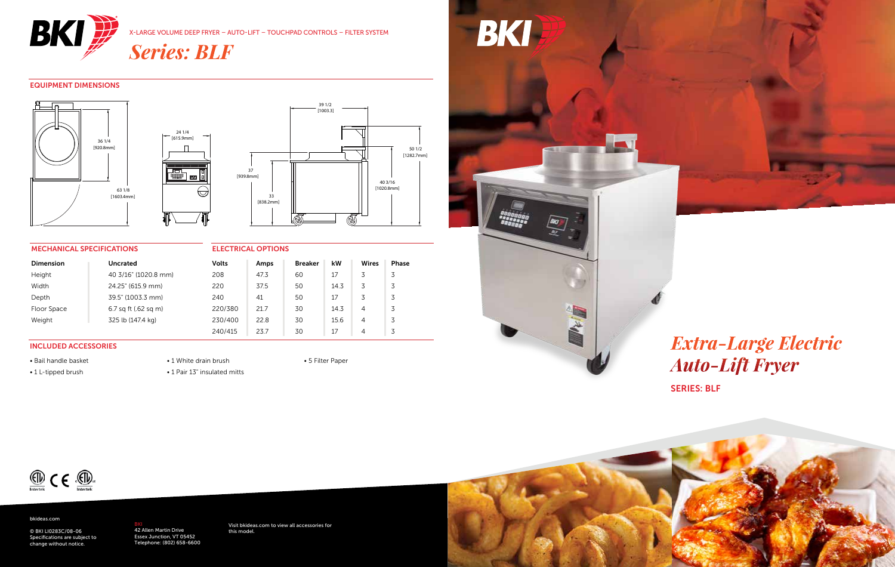

X-LARGE VOLUME DEEP FRYER – AUTO-LIFT – TOUCHPAD CONTROLS – FILTER SYSTEM

*Series: BLF*

### EQUIPMENT DIMENSIONS





#### MECHANICAL SPECIFICATIONS

| <b>MECHANICAL SPECIFICATIONS</b> |                      | <b>ELECTRICAL OPTIONS</b> |      |                |      |                |       |
|----------------------------------|----------------------|---------------------------|------|----------------|------|----------------|-------|
| <b>Dimension</b>                 | <b>Uncrated</b>      | <b>Volts</b>              | Amps | <b>Breaker</b> | kW   | Wires          | Phase |
| Height                           | 40 3/16" (1020.8 mm) | 208                       | 47.3 | 60             | 17   | 3              |       |
| Width                            | 24.25" (615.9 mm)    | 220                       | 37.5 | 50             | 14.3 | 3              | 3     |
| Depth                            | 39.5" (1003.3 mm)    | 240                       | 41   | 50             | 17   | 3              | 3     |
| Floor Space                      | 6.7 sq ft (.62 sq m) | 220/380                   | 21.7 | 30             | 14.3 | $\overline{4}$ | 3     |
| Weight                           | 325 lb (147.4 kg)    | 230/400                   | 22.8 | 30             | 15.6 | 4              | 3     |
|                                  |                      | 240/415                   | 23.7 | 30             | 17   | 4              |       |

#### INCLUDED ACCESSORIES

• Bail handle basket • 1 L-tipped brush

• 1 White drain brush • 1 Pair 13" insulated mitts





# SERIES: BLF *Extra-Large Electric Auto-Lift Fryer*



#### bkideas.com

© BKI LI0283C/08-06 Specifications are subject to change without notice.

<mark>BKI</mark><br>42 Allen Martin Drive<br>Essex Junction, VT 05452<br>Telephone: (802) 658-6600

Visit bkideas.com to view all accessories for this model.